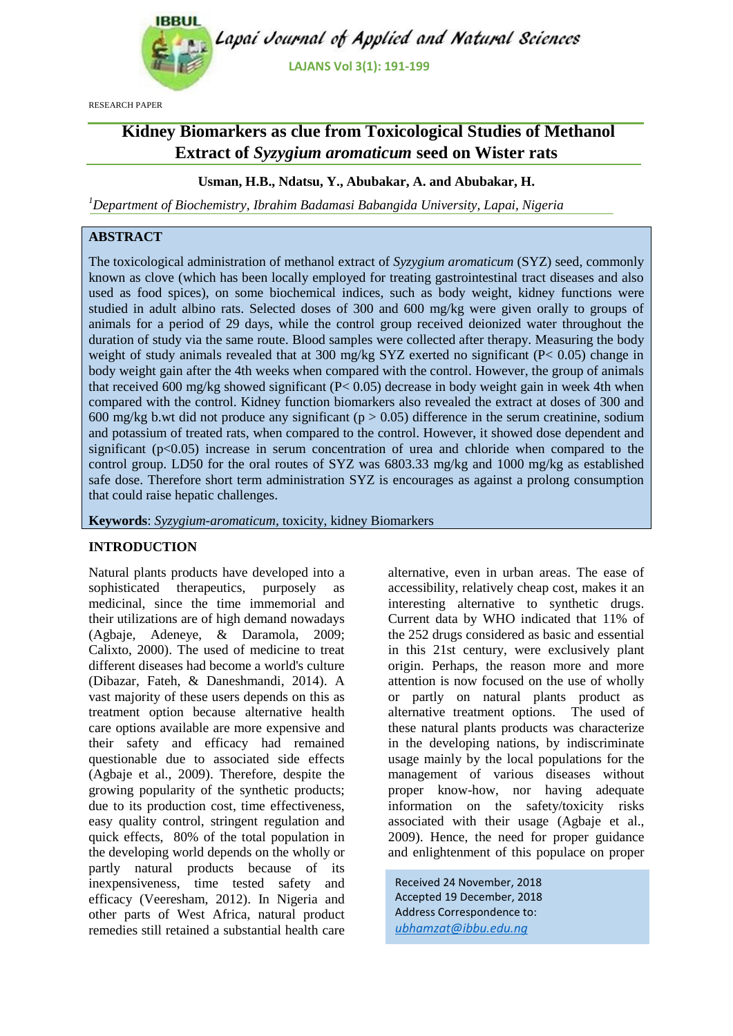

RESEARCH PAPER

# **Kidney Biomarkers as clue from Toxicological Studies of Methanol Extract of** *Syzygium aromaticum* **seed on Wister rats**

# **Usman, H.B., Ndatsu, Y., Abubakar, A. and Abubakar, H.**

*<sup>1</sup>Department of Biochemistry, Ibrahim Badamasi Babangida University, Lapai, Nigeria*

# **ABSTRACT**

The toxicological administration of methanol extract of *Syzygium aromaticum* (SYZ) seed, commonly known as clove (which has been locally employed for treating gastrointestinal tract diseases and also used as food spices), on some biochemical indices, such as body weight, kidney functions were studied in adult albino rats. Selected doses of 300 and 600 mg/kg were given orally to groups of animals for a period of 29 days, while the control group received deionized water throughout the duration of study via the same route. Blood samples were collected after therapy. Measuring the body weight of study animals revealed that at 300 mg/kg SYZ exerted no significant (P< 0.05) change in body weight gain after the 4th weeks when compared with the control. However, the group of animals that received 600 mg/kg showed significant (P< 0.05) decrease in body weight gain in week 4th when compared with the control. Kidney function biomarkers also revealed the extract at doses of 300 and 600 mg/kg b.wt did not produce any significant ( $p > 0.05$ ) difference in the serum creatinine, sodium and potassium of treated rats, when compared to the control. However, it showed dose dependent and significant  $(p<0.05)$  increase in serum concentration of urea and chloride when compared to the control group. LD50 for the oral routes of SYZ was 6803.33 mg/kg and 1000 mg/kg as established safe dose. Therefore short term administration SYZ is encourages as against a prolong consumption that could raise hepatic challenges.

**Keywords**: *Syzygium-aromaticum,* toxicity, kidney Biomarkers

#### **INTRODUCTION**

Natural plants products have developed into a sophisticated therapeutics, purposely as medicinal, since the time immemorial and their utilizations are of high demand nowadays (Agbaje, Adeneye, & Daramola, 2009; Calixto, 2000). The used of medicine to treat different diseases had become a world's culture (Dibazar, Fateh, & Daneshmandi, 2014). A vast majority of these users depends on this as treatment option because alternative health care options available are more expensive and their safety and efficacy had remained questionable due to associated side effects (Agbaje et al., 2009). Therefore, despite the growing popularity of the synthetic products; due to its production cost, time effectiveness, easy quality control, stringent regulation and quick effects, 80% of the total population in the developing world depends on the wholly or partly natural products because of its inexpensiveness, time tested safety and efficacy (Veeresham, 2012). In Nigeria and other parts of West Africa, natural product remedies still retained a substantial health care

alternative, even in urban areas. The ease of accessibility, relatively cheap cost, makes it an interesting alternative to synthetic drugs. Current data by WHO indicated that 11% of the 252 drugs considered as basic and essential in this 21st century, were exclusively plant origin. Perhaps, the reason more and more attention is now focused on the use of wholly or partly on natural plants product as alternative treatment options. The used of these natural plants products was characterize in the developing nations, by indiscriminate usage mainly by the local populations for the management of various diseases without proper know-how, nor having adequate information on the safety/toxicity risks associated with their usage (Agbaje et al., 2009). Hence, the need for proper guidance and enlightenment of this populace on proper

Received 24 November, 2018 Accepted 19 December, 2018 Address Correspondence to: *ubhamzat@ibbu.edu.ng*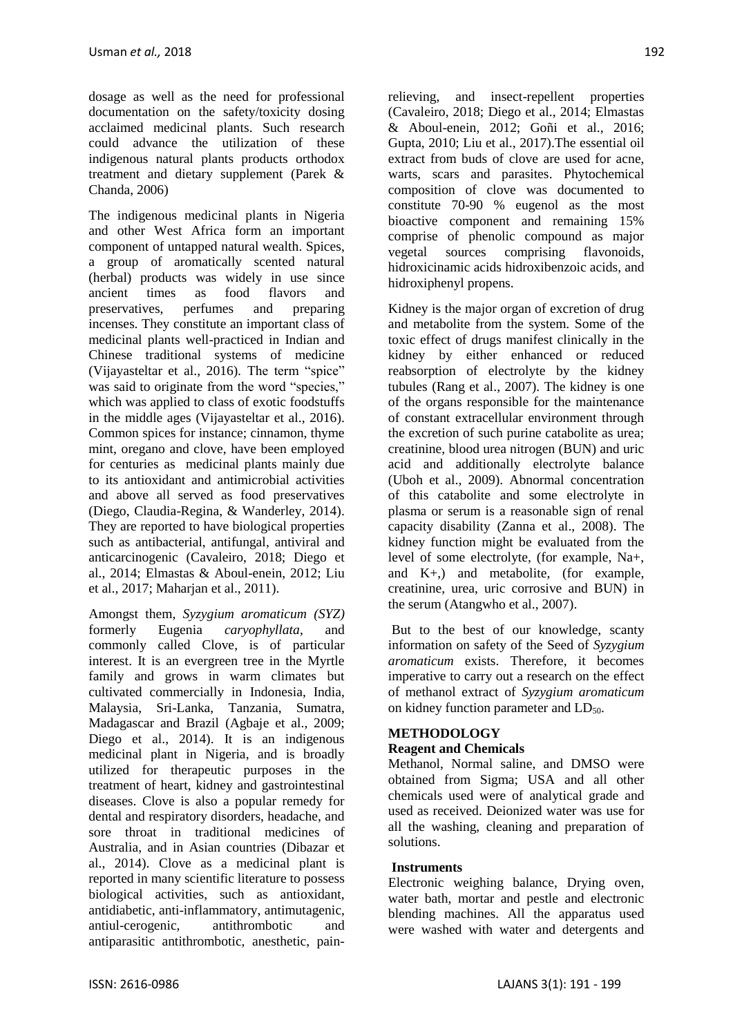dosage as well as the need for professional documentation on the safety/toxicity dosing acclaimed medicinal plants. Such research could advance the utilization of these indigenous natural plants products orthodox treatment and dietary supplement (Parek & Chanda, 2006)

The indigenous medicinal plants in Nigeria and other West Africa form an important component of untapped natural wealth. Spices, a group of aromatically scented natural (herbal) products was widely in use since ancient times as food flavors and preservatives, perfumes and preparing incenses. They constitute an important class of medicinal plants well-practiced in Indian and Chinese traditional systems of medicine (Vijayasteltar et al., 2016). The term "spice" was said to originate from the word "species." which was applied to class of exotic foodstuffs in the middle ages (Vijayasteltar et al., 2016). Common spices for instance; cinnamon, thyme mint, oregano and clove, have been employed for centuries as medicinal plants mainly due to its antioxidant and antimicrobial activities and above all served as food preservatives (Diego, Claudia-Regina, & Wanderley, 2014). They are reported to have biological properties such as antibacterial, antifungal, antiviral and anticarcinogenic (Cavaleiro, 2018; Diego et al., 2014; Elmastas & Aboul-enein, 2012; Liu et al., 2017; Maharjan et al., 2011).

Amongst them, *Syzygium aromaticum (SYZ)* formerly Eugenia *caryophyllata*, and commonly called Clove, is of particular interest. It is an evergreen tree in the Myrtle family and grows in warm climates but cultivated commercially in Indonesia, India, Malaysia, Sri-Lanka, Tanzania, Sumatra, Madagascar and Brazil (Agbaje et al., 2009; Diego et al., 2014). It is an indigenous medicinal plant in Nigeria, and is broadly utilized for therapeutic purposes in the treatment of heart, kidney and gastrointestinal diseases. Clove is also a popular remedy for dental and respiratory disorders, headache, and sore throat in traditional medicines of Australia, and in Asian countries (Dibazar et al., 2014). Clove as a medicinal plant is reported in many scientific literature to possess biological activities, such as antioxidant, antidiabetic, anti-inflammatory, antimutagenic, antiul-cerogenic, antithrombotic and antiparasitic antithrombotic, anesthetic, pain-

relieving, and insect-repellent properties (Cavaleiro, 2018; Diego et al., 2014; Elmastas & Aboul-enein, 2012; Goñi et al., 2016; Gupta, 2010; Liu et al., 2017).The essential oil extract from buds of clove are used for acne, warts, scars and parasites. Phytochemical composition of clove was documented to constitute 70-90 % eugenol as the most bioactive component and remaining 15% comprise of phenolic compound as major vegetal sources comprising flavonoids, hidroxicinamic acids hidroxibenzoic acids, and hidroxiphenyl propens.

Kidney is the major organ of excretion of drug and metabolite from the system. Some of the toxic effect of drugs manifest clinically in the kidney by either enhanced or reduced reabsorption of electrolyte by the kidney tubules (Rang et al., 2007). The kidney is one of the organs responsible for the maintenance of constant extracellular environment through the excretion of such purine catabolite as urea; creatinine, blood urea nitrogen (BUN) and uric acid and additionally electrolyte balance (Uboh et al., 2009). Abnormal concentration of this catabolite and some electrolyte in plasma or serum is a reasonable sign of renal capacity disability (Zanna et al., 2008). The kidney function might be evaluated from the level of some electrolyte, (for example, Na+, and K+,) and metabolite, (for example, creatinine, urea, uric corrosive and BUN) in the serum (Atangwho et al., 2007).

But to the best of our knowledge, scanty information on safety of the Seed of *Syzygium aromaticum* exists. Therefore, it becomes imperative to carry out a research on the effect of methanol extract of *Syzygium aromaticum*  on kidney function parameter and  $LD_{50}$ .

# **METHODOLOGY**

# **Reagent and Chemicals**

Methanol, Normal saline, and DMSO were obtained from Sigma; USA and all other chemicals used were of analytical grade and used as received. Deionized water was use for all the washing, cleaning and preparation of solutions.

# **Instruments**

Electronic weighing balance, Drying oven, water bath, mortar and pestle and electronic blending machines. All the apparatus used were washed with water and detergents and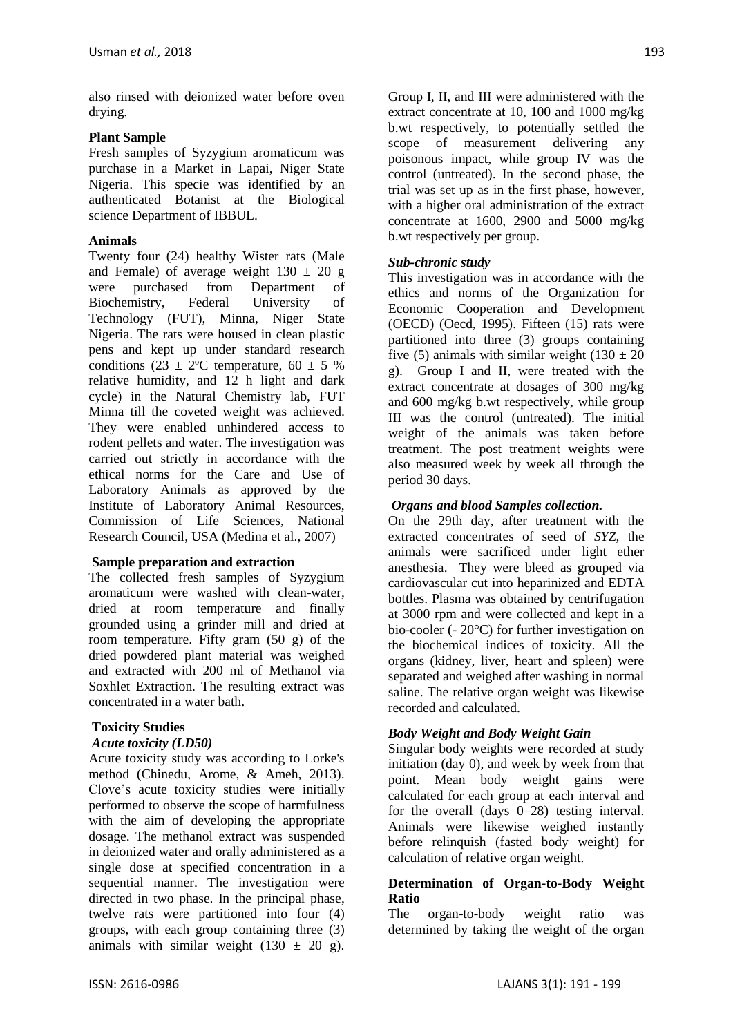also rinsed with deionized water before oven drying.

# **Plant Sample**

Fresh samples of Syzygium aromaticum was purchase in a Market in Lapai, Niger State Nigeria. This specie was identified by an authenticated Botanist at the Biological science Department of IBBUL.

#### **Animals**

Twenty four (24) healthy Wister rats (Male and Female) of average weight  $130 \pm 20$  g were purchased from Department of Biochemistry, Federal University of Technology (FUT), Minna, Niger State Nigeria. The rats were housed in clean plastic pens and kept up under standard research conditions (23  $\pm$  2°C temperature, 60  $\pm$  5 % relative humidity, and 12 h light and dark cycle) in the Natural Chemistry lab, FUT Minna till the coveted weight was achieved. They were enabled unhindered access to rodent pellets and water. The investigation was carried out strictly in accordance with the ethical norms for the Care and Use of Laboratory Animals as approved by the Institute of Laboratory Animal Resources, Commission of Life Sciences, National Research Council, USA (Medina et al., 2007)

# **Sample preparation and extraction**

The collected fresh samples of Syzygium aromaticum were washed with clean-water, dried at room temperature and finally grounded using a grinder mill and dried at room temperature. Fifty gram (50 g) of the dried powdered plant material was weighed and extracted with 200 ml of Methanol via Soxhlet Extraction. The resulting extract was concentrated in a water bath.

# **Toxicity Studies**

#### *Acute toxicity (LD50)*

Acute toxicity study was according to Lorke's method (Chinedu, Arome, & Ameh, 2013). Clove's acute toxicity studies were initially performed to observe the scope of harmfulness with the aim of developing the appropriate dosage. The methanol extract was suspended in deionized water and orally administered as a single dose at specified concentration in a sequential manner. The investigation were directed in two phase. In the principal phase, twelve rats were partitioned into four (4) groups, with each group containing three (3) animals with similar weight  $(130 \pm 20)$  g).

Group I, II, and III were administered with the extract concentrate at 10, 100 and 1000 mg/kg b.wt respectively, to potentially settled the scope of measurement delivering any poisonous impact, while group IV was the control (untreated). In the second phase, the trial was set up as in the first phase, however, with a higher oral administration of the extract concentrate at 1600, 2900 and 5000 mg/kg b.wt respectively per group.

#### *Sub-chronic study*

This investigation was in accordance with the ethics and norms of the Organization for Economic Cooperation and Development (OECD) (Oecd, 1995). Fifteen (15) rats were partitioned into three (3) groups containing five (5) animals with similar weight (130  $\pm$  20 g). Group I and II, were treated with the extract concentrate at dosages of 300 mg/kg and 600 mg/kg b.wt respectively, while group III was the control (untreated). The initial weight of the animals was taken before treatment. The post treatment weights were also measured week by week all through the period 30 days.

#### *Organs and blood Samples collection.*

On the 29th day, after treatment with the extracted concentrates of seed of *SYZ,* the animals were sacrificed under light ether anesthesia. They were bleed as grouped via cardiovascular cut into heparinized and EDTA bottles. Plasma was obtained by centrifugation at 3000 rpm and were collected and kept in a bio-cooler (- 20°C) for further investigation on the biochemical indices of toxicity. All the organs (kidney, liver, heart and spleen) were separated and weighed after washing in normal saline. The relative organ weight was likewise recorded and calculated.

# *Body Weight and Body Weight Gain*

Singular body weights were recorded at study initiation (day 0), and week by week from that point. Mean body weight gains were calculated for each group at each interval and for the overall (days 0–28) testing interval. Animals were likewise weighed instantly before relinquish (fasted body weight) for calculation of relative organ weight.

#### **Determination of Organ-to-Body Weight Ratio**

The organ-to-body weight ratio was determined by taking the weight of the organ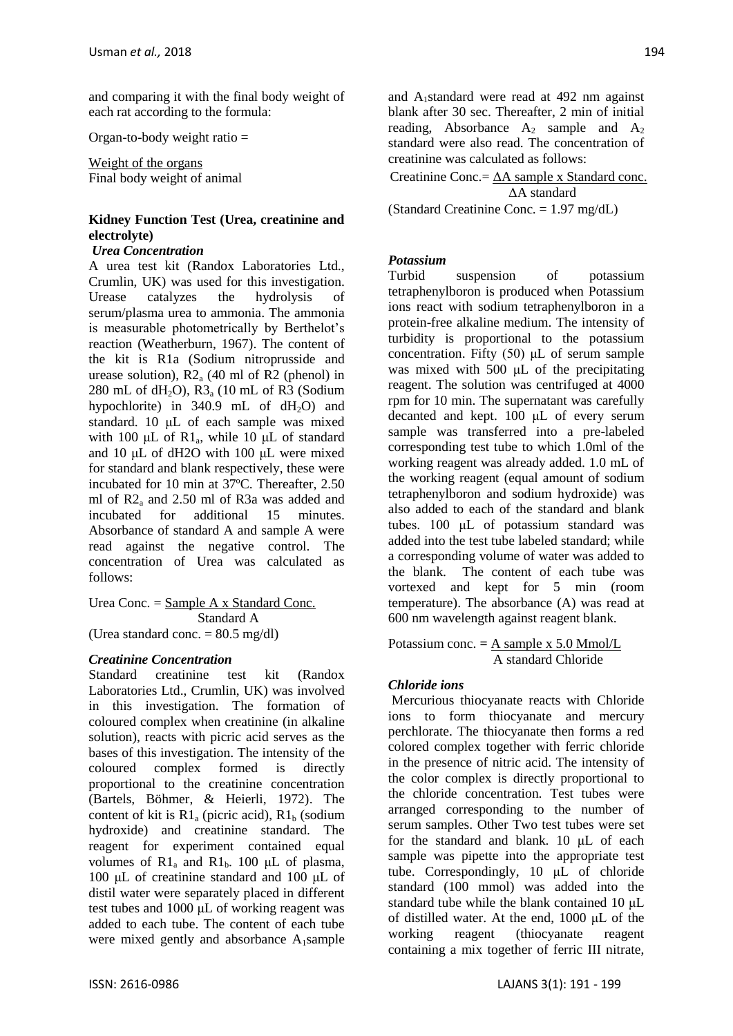and comparing it with the final body weight of each rat according to the formula:

Organ-to-body weight ratio =

Weight of the organs Final body weight of animal

# **Kidney Function Test (Urea, creatinine and electrolyte)**

# *Urea Concentration*

A urea test kit (Randox Laboratories Ltd., Crumlin, UK) was used for this investigation. Urease catalyzes the hydrolysis of serum/plasma urea to ammonia. The ammonia is measurable photometrically by Berthelot's reaction (Weatherburn, 1967). The content of the kit is R1a (Sodium nitroprusside and urease solution),  $R2_a$  (40 ml of R2 (phenol) in 280 mL of dH<sub>2</sub>O),  $R3_a$  (10 mL of R3 (Sodium hypochlorite) in 340.9 mL of  $dH_2O$  and standard. 10 μL of each sample was mixed with 100  $\mu$ L of R1<sub>a</sub>, while 10  $\mu$ L of standard and 10 μL of dH2O with 100 μL were mixed for standard and blank respectively, these were incubated for 10 min at 37ºC. Thereafter, 2.50 ml of R2<sup>a</sup> and 2.50 ml of R3a was added and incubated for additional 15 minutes. Absorbance of standard A and sample A were read against the negative control. The concentration of Urea was calculated as follows:

Urea Conc. = Sample A x Standard Conc. Standard A

(Urea standard conc.  $= 80.5$  mg/dl)

# *Creatinine Concentration*

Standard creatinine test kit (Randox Laboratories Ltd., Crumlin, UK) was involved in this investigation. The formation of coloured complex when creatinine (in alkaline solution), reacts with picric acid serves as the bases of this investigation. The intensity of the coloured complex formed is directly proportional to the creatinine concentration (Bartels, Böhmer, & Heierli, 1972). The content of kit is  $R1_a$  (picric acid),  $R1_b$  (sodium) hydroxide) and creatinine standard. The reagent for experiment contained equal volumes of  $R1_a$  and  $R1_b$ . 100 μL of plasma, 100 μL of creatinine standard and 100 μL of distil water were separately placed in different test tubes and 1000 μL of working reagent was added to each tube. The content of each tube were mixed gently and absorbance  $A_1$ sample and A1standard were read at 492 nm against blank after 30 sec. Thereafter, 2 min of initial reading, Absorbance  $A_2$  sample and  $A_2$ standard were also read. The concentration of creatinine was calculated as follows:

Creatinine Conc. =  $\Delta A$  sample x Standard conc. ΔA standard

(Standard Creatinine Conc. = 1.97 mg/dL)

# *Potassium*

Turbid suspension of potassium tetraphenylboron is produced when Potassium ions react with sodium tetraphenylboron in a protein-free alkaline medium. The intensity of turbidity is proportional to the potassium concentration. Fifty (50) μL of serum sample was mixed with 500 μL of the precipitating reagent. The solution was centrifuged at 4000 rpm for 10 min. The supernatant was carefully decanted and kept. 100 μL of every serum sample was transferred into a pre-labeled corresponding test tube to which 1.0ml of the working reagent was already added. 1.0 mL of the working reagent (equal amount of sodium tetraphenylboron and sodium hydroxide) was also added to each of the standard and blank tubes. 100 μL of potassium standard was added into the test tube labeled standard; while a corresponding volume of water was added to the blank. The content of each tube was vortexed and kept for 5 min (room temperature). The absorbance (A) was read at 600 nm wavelength against reagent blank.

Potassium conc.  $=$   $\frac{\text{A sample x 5.0 Mmol/L}}{1}$ A standard Chloride

# *Chloride ions*

Mercurious thiocyanate reacts with Chloride ions to form thiocyanate and mercury perchlorate. The thiocyanate then forms a red colored complex together with ferric chloride in the presence of nitric acid. The intensity of the color complex is directly proportional to the chloride concentration. Test tubes were arranged corresponding to the number of serum samples. Other Two test tubes were set for the standard and blank. 10 μL of each sample was pipette into the appropriate test tube. Correspondingly, 10 μL of chloride standard (100 mmol) was added into the standard tube while the blank contained 10 μL of distilled water. At the end, 1000 μL of the working reagent (thiocyanate reagent containing a mix together of ferric III nitrate,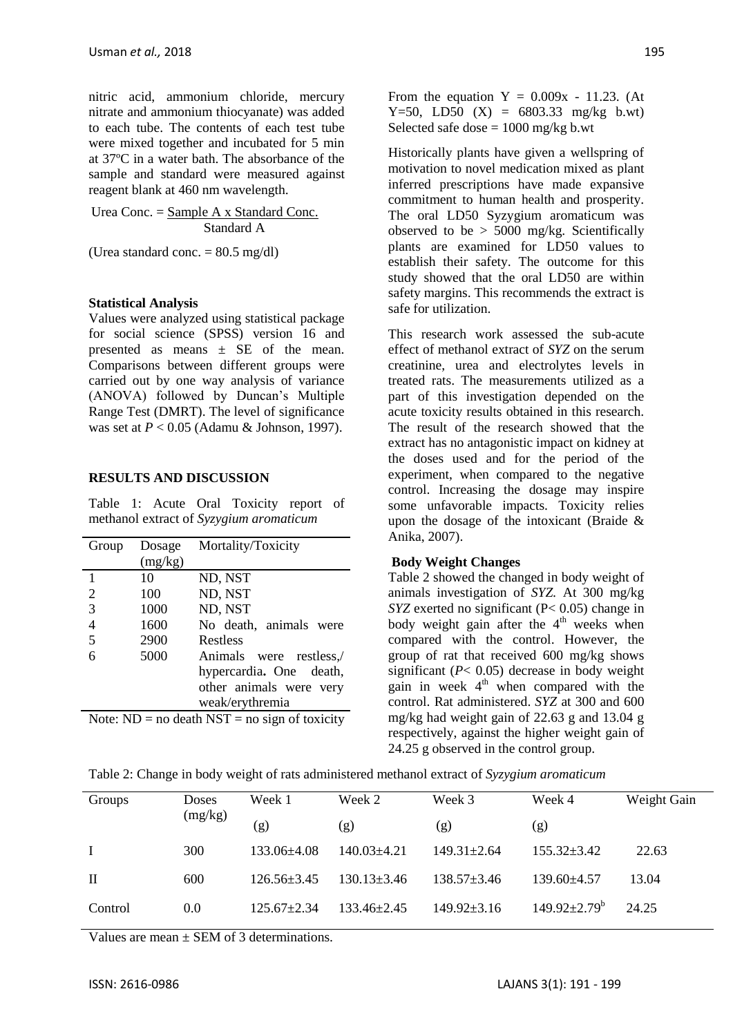nitric acid, ammonium chloride, mercury nitrate and ammonium thiocyanate) was added to each tube. The contents of each test tube were mixed together and incubated for 5 min at 37ºC in a water bath. The absorbance of the sample and standard were measured against reagent blank at 460 nm wavelength.

Urea Conc. = Sample A x Standard Conc. Standard A

(Urea standard conc.  $= 80.5$  mg/dl)

#### **Statistical Analysis**

Values were analyzed using statistical package for social science (SPSS) version 16 and presented as means  $\pm$  SE of the mean. Comparisons between different groups were carried out by one way analysis of variance (ANOVA) followed by Duncan's Multiple Range Test (DMRT). The level of significance was set at *P* < 0.05 (Adamu & Johnson, 1997).

#### **RESULTS AND DISCUSSION**

Table 1: Acute Oral Toxicity report of methanol extract of *Syzygium aromaticum*

| Group                                                                                                                                                                  | Dosage  | Mortality/Toxicity      |  |  |  |
|------------------------------------------------------------------------------------------------------------------------------------------------------------------------|---------|-------------------------|--|--|--|
|                                                                                                                                                                        | (mg/kg) |                         |  |  |  |
| 1                                                                                                                                                                      | 10      | ND, NST                 |  |  |  |
| $\overline{2}$                                                                                                                                                         | 100     | ND, NST                 |  |  |  |
| 3                                                                                                                                                                      | 1000    | ND, NST                 |  |  |  |
| $\overline{4}$                                                                                                                                                         | 1600    | No death, animals were  |  |  |  |
| 5                                                                                                                                                                      | 2900    | Restless                |  |  |  |
| 6                                                                                                                                                                      | 5000    | Animals were restless,  |  |  |  |
|                                                                                                                                                                        |         | hypercardia. One death, |  |  |  |
|                                                                                                                                                                        |         | other animals were very |  |  |  |
|                                                                                                                                                                        |         | weak/erythremia         |  |  |  |
| $\mathcal{L}$ and $\mathcal{L}$ is a set of $\mathcal{L}$ is a set of $\mathcal{L}$ is a set of $\mathcal{L}$ is a set of $\mathcal{L}$<br>$\mathbf{M}$ . $\mathbf{M}$ |         |                         |  |  |  |

Note:  $ND = no$  death  $NST = no$  sign of toxicity

From the equation  $Y = 0.009x - 11.23$ . (At Y=50, LD50  $(X) = 6803.33$  mg/kg b.wt) Selected safe dose  $= 1000$  mg/kg b.wt

Historically plants have given a wellspring of motivation to novel medication mixed as plant inferred prescriptions have made expansive commitment to human health and prosperity. The oral LD50 Syzygium aromaticum was observed to be  $> 5000$  mg/kg. Scientifically plants are examined for LD50 values to establish their safety. The outcome for this study showed that the oral LD50 are within safety margins. This recommends the extract is safe for utilization.

This research work assessed the sub-acute effect of methanol extract of *SYZ* on the serum creatinine, urea and electrolytes levels in treated rats. The measurements utilized as a part of this investigation depended on the acute toxicity results obtained in this research. The result of the research showed that the extract has no antagonistic impact on kidney at the doses used and for the period of the experiment, when compared to the negative control. Increasing the dosage may inspire some unfavorable impacts. Toxicity relies upon the dosage of the intoxicant (Braide & Anika, 2007).

#### **Body Weight Changes**

Table 2 showed the changed in body weight of animals investigation of *SYZ.* At 300 mg/kg *SYZ* exerted no significant (P< 0.05) change in body weight gain after the  $4<sup>th</sup>$  weeks when compared with the control. However, the group of rat that received 600 mg/kg shows significant (*P*< 0.05) decrease in body weight gain in week  $4<sup>th</sup>$  when compared with the control. Rat administered. *SYZ* at 300 and 600 mg/kg had weight gain of 22.63 g and 13.04 g respectively, against the higher weight gain of 24.25 g observed in the control group.

Table 2: Change in body weight of rats administered methanol extract of *Syzygium aromaticum*

| Groups       | Doses<br>(mg/kg) | Week 1            | Week 2            | Week 3            | Week 4                         | Weight Gain |
|--------------|------------------|-------------------|-------------------|-------------------|--------------------------------|-------------|
|              |                  | (g)               | (g)               | (g)               | (g)                            |             |
| $\mathbf{I}$ | 300              | $133.06\pm4.08$   | $140.03 \pm 4.21$ | $149.31 \pm 2.64$ | $155.32 \pm 3.42$              | 22.63       |
| $\mathbf{H}$ | 600              | $126.56 \pm 3.45$ | $130.13 \pm 3.46$ | $138.57 \pm 3.46$ | $139.60 \pm 4.57$              | 13.04       |
| Control      | 0.0              | $125.67 + 2.34$   | $133.46 \pm 2.45$ | $149.92 \pm 3.16$ | $149.92 \pm 2.79^{\mathrm{b}}$ | 24.25       |

Values are mean + SEM of 3 determinations.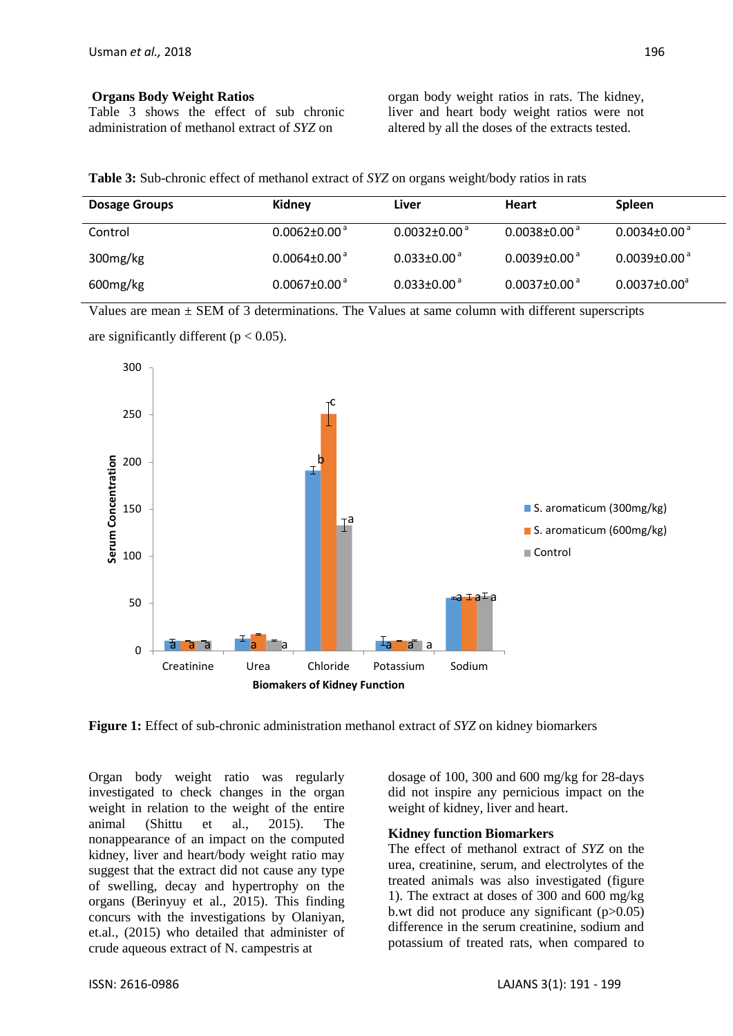#### **Organs Body Weight Ratios**

Table 3 shows the effect of sub chronic administration of methanol extract of *SYZ* on

organ body weight ratios in rats. The kidney, liver and heart body weight ratios were not altered by all the doses of the extracts tested.

**Table 3:** Sub-chronic effect of methanol extract of *SYZ* on organs weight/body ratios in rats

| <b>Dosage Groups</b> | Kidney                         | Liver                          | <b>Heart</b>                   | <b>Spleen</b>                  |
|----------------------|--------------------------------|--------------------------------|--------------------------------|--------------------------------|
| Control              | $0.0062 \pm 0.00^{\circ}$      | $0.0032 \pm 0.00$ <sup>a</sup> | $0.0038 \pm 0.00$ <sup>a</sup> | $0.0034 \pm 0.00$ <sup>a</sup> |
| 300mg/kg             | $0.0064 \pm 0.00$ <sup>a</sup> | $0.033 \pm 0.00$ <sup>a</sup>  | $0.0039 \pm 0.00$ <sup>a</sup> | $0.0039 \pm 0.00$ <sup>a</sup> |
| 600mg/kg             | $0.0067 \pm 0.00^{\circ}$      | $0.033 \pm 0.00^{\circ}$       | $0.0037 \pm 0.00^{\circ}$      | $0.0037 \pm 0.00^3$            |

Values are mean  $\pm$  SEM of 3 determinations. The Values at same column with different superscripts



are significantly different ( $p < 0.05$ ).

**Figure 1:** Effect of sub-chronic administration methanol extract of *SYZ* on kidney biomarkers

Organ body weight ratio was regularly investigated to check changes in the organ weight in relation to the weight of the entire animal (Shittu et al., 2015). The nonappearance of an impact on the computed kidney, liver and heart/body weight ratio may suggest that the extract did not cause any type of swelling, decay and hypertrophy on the organs (Berinyuy et al., 2015). This finding concurs with the investigations by Olaniyan, et.al., (2015) who detailed that administer of crude aqueous extract of N. campestris at

dosage of 100, 300 and 600 mg/kg for 28-days did not inspire any pernicious impact on the weight of kidney, liver and heart.

#### **Kidney function Biomarkers**

The effect of methanol extract of *SYZ* on the urea, creatinine, serum, and electrolytes of the treated animals was also investigated (figure 1). The extract at doses of 300 and 600 mg/kg b.wt did not produce any significant  $(p>0.05)$ difference in the serum creatinine, sodium and potassium of treated rats, when compared to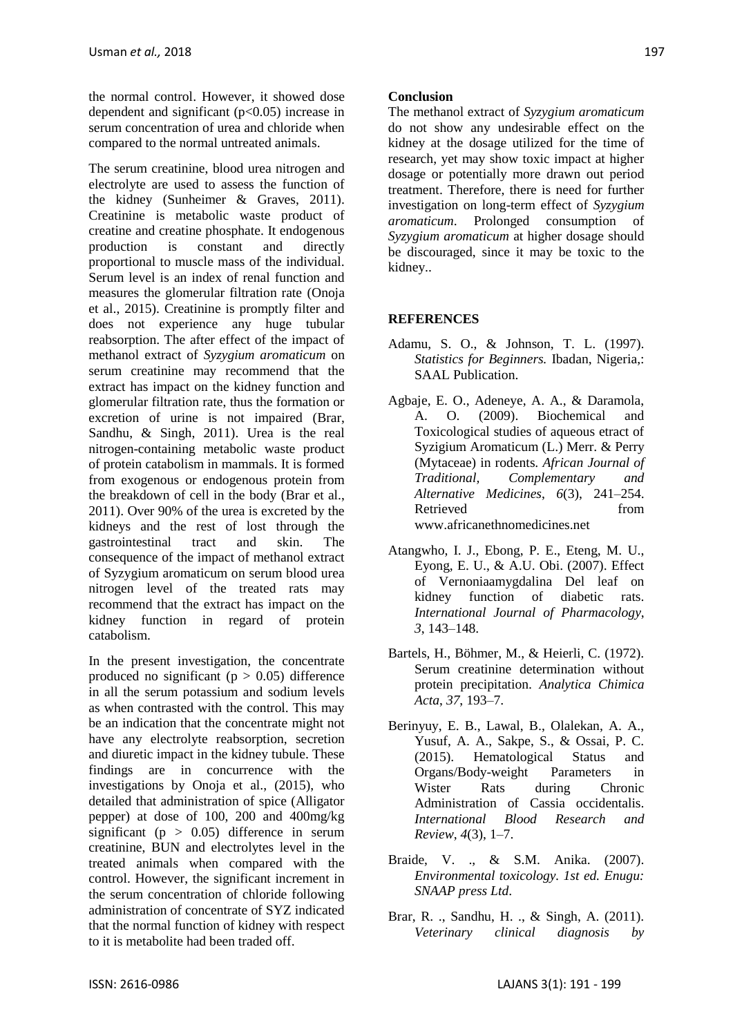the normal control. However, it showed dose dependent and significant (p<0.05) increase in serum concentration of urea and chloride when compared to the normal untreated animals.

The serum creatinine, blood urea nitrogen and electrolyte are used to assess the function of the kidney (Sunheimer & Graves, 2011). Creatinine is metabolic waste product of creatine and creatine phosphate. It endogenous production is constant and directly proportional to muscle mass of the individual. Serum level is an index of renal function and measures the glomerular filtration rate (Onoja et al., 2015). Creatinine is promptly filter and does not experience any huge tubular reabsorption. The after effect of the impact of methanol extract of *Syzygium aromaticum* on serum creatinine may recommend that the extract has impact on the kidney function and glomerular filtration rate, thus the formation or excretion of urine is not impaired (Brar, Sandhu, & Singh, 2011). Urea is the real nitrogen-containing metabolic waste product of protein catabolism in mammals. It is formed from exogenous or endogenous protein from the breakdown of cell in the body (Brar et al., 2011). Over 90% of the urea is excreted by the kidneys and the rest of lost through the gastrointestinal tract and skin. The consequence of the impact of methanol extract of Syzygium aromaticum on serum blood urea nitrogen level of the treated rats may recommend that the extract has impact on the kidney function in regard of protein catabolism.

In the present investigation, the concentrate produced no significant ( $p > 0.05$ ) difference in all the serum potassium and sodium levels as when contrasted with the control. This may be an indication that the concentrate might not have any electrolyte reabsorption, secretion and diuretic impact in the kidney tubule. These findings are in concurrence with the investigations by Onoja et al., (2015), who detailed that administration of spice (Alligator pepper) at dose of 100, 200 and 400mg/kg significant ( $p > 0.05$ ) difference in serum creatinine, BUN and electrolytes level in the treated animals when compared with the control. However, the significant increment in the serum concentration of chloride following administration of concentrate of SYZ indicated that the normal function of kidney with respect to it is metabolite had been traded off.

#### **Conclusion**

The methanol extract of *Syzygium aromaticum* do not show any undesirable effect on the kidney at the dosage utilized for the time of research, yet may show toxic impact at higher dosage or potentially more drawn out period treatment. Therefore, there is need for further investigation on long-term effect of *Syzygium aromaticum*. Prolonged consumption of *Syzygium aromaticum* at higher dosage should be discouraged, since it may be toxic to the kidney..

# **REFERENCES**

- Adamu, S. O., & Johnson, T. L. (1997). *Statistics for Beginners.* Ibadan, Nigeria,: SAAL Publication.
- Agbaje, E. O., Adeneye, A. A., & Daramola, A. O. (2009). Biochemical and Toxicological studies of aqueous etract of Syzigium Aromaticum (L.) Merr. & Perry (Mytaceae) in rodents. *African Journal of Traditional, Complementary and Alternative Medicines*, *6*(3), 241–254. Retrieved from www.africanethnomedicines.net
- Atangwho, I. J., Ebong, P. E., Eteng, M. U., Eyong, E. U., & A.U. Obi. (2007). Effect of Vernoniaamygdalina Del leaf on kidney function of diabetic rats. *International Journal of Pharmacology*, *3*, 143–148.
- Bartels, H., Böhmer, M., & Heierli, C. (1972). Serum creatinine determination without protein precipitation. *Analytica Chimica Acta*, *37*, 193–7.
- Berinyuy, E. B., Lawal, B., Olalekan, A. A., Yusuf, A. A., Sakpe, S., & Ossai, P. C. (2015). Hematological Status and Organs/Body-weight Parameters in Wister Rats during Chronic Administration of Cassia occidentalis. *International Blood Research and Review*, *4*(3), 1–7.
- Braide, V. ., & S.M. Anika. (2007). *Environmental toxicology. 1st ed. Enugu: SNAAP press Ltd*.
- Brar, R. ., Sandhu, H. ., & Singh, A. (2011). *Veterinary clinical diagnosis by*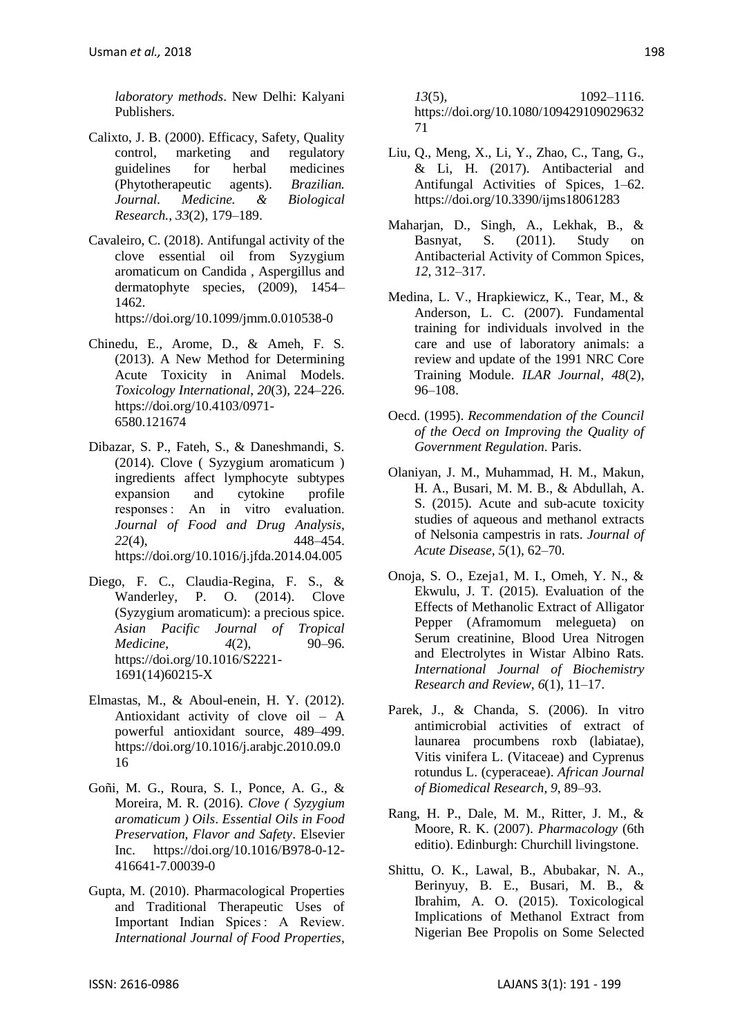*laboratory methods*. New Delhi: Kalyani Publishers.

- Calixto, J. B. (2000). Efficacy, Safety, Quality control, marketing and regulatory guidelines for herbal medicines (Phytotherapeutic agents). *Brazilian. Journal. Medicine. & Biological Research.*, *33*(2), 179–189.
- Cavaleiro, C. (2018). Antifungal activity of the clove essential oil from Syzygium aromaticum on Candida , Aspergillus and dermatophyte species, (2009), 1454– 1462.

https://doi.org/10.1099/jmm.0.010538-0

- Chinedu, E., Arome, D., & Ameh, F. S. (2013). A New Method for Determining Acute Toxicity in Animal Models. *Toxicology International*, *20*(3), 224–226. https://doi.org/10.4103/0971- 6580.121674
- Dibazar, S. P., Fateh, S., & Daneshmandi, S. (2014). Clove ( Syzygium aromaticum ) ingredients affect lymphocyte subtypes expansion and cytokine profile responses : An in vitro evaluation. *Journal of Food and Drug Analysis*, *22*(4), 448–454. https://doi.org/10.1016/j.jfda.2014.04.005
- Diego, F. C., Claudia-Regina, F. S., & Wanderley, P. O. (2014). Clove (Syzygium aromaticum): a precious spice. *Asian Pacific Journal of Tropical Medicine*, *4*(2), 90–96. https://doi.org/10.1016/S2221- 1691(14)60215-X
- Elmastas, M., & Aboul-enein, H. Y. (2012). Antioxidant activity of clove oil – A powerful antioxidant source, 489–499. https://doi.org/10.1016/j.arabjc.2010.09.0 16
- Goñi, M. G., Roura, S. I., Ponce, A. G., & Moreira, M. R. (2016). *Clove ( Syzygium aromaticum ) Oils*. *Essential Oils in Food Preservation, Flavor and Safety*. Elsevier Inc. https://doi.org/10.1016/B978-0-12- 416641-7.00039-0
- Gupta, M. (2010). Pharmacological Properties and Traditional Therapeutic Uses of Important Indian Spices : A Review. *International Journal of Food Properties*,

*13*(5), 1092–1116. https://doi.org/10.1080/109429109029632 71

- Liu, Q., Meng, X., Li, Y., Zhao, C., Tang, G., & Li, H. (2017). Antibacterial and Antifungal Activities of Spices, 1–62. https://doi.org/10.3390/ijms18061283
- Maharjan, D., Singh, A., Lekhak, B., & Basnyat, S. (2011). Study on Antibacterial Activity of Common Spices, *12*, 312–317.
- Medina, L. V., Hrapkiewicz, K., Tear, M., & Anderson, L. C. (2007). Fundamental training for individuals involved in the care and use of laboratory animals: a review and update of the 1991 NRC Core Training Module. *ILAR Journal*, *48*(2), 96–108.
- Oecd. (1995). *Recommendation of the Council of the Oecd on Improving the Quality of Government Regulation*. Paris.
- Olaniyan, J. M., Muhammad, H. M., Makun, H. A., Busari, M. M. B., & Abdullah, A. S. (2015). Acute and sub-acute toxicity studies of aqueous and methanol extracts of Nelsonia campestris in rats. *Journal of Acute Disease*, *5*(1), 62–70.
- Onoja, S. O., Ezeja1, M. I., Omeh, Y. N., & Ekwulu, J. T. (2015). Evaluation of the Effects of Methanolic Extract of Alligator Pepper (Aframomum melegueta) on Serum creatinine, Blood Urea Nitrogen and Electrolytes in Wistar Albino Rats. *International Journal of Biochemistry Research and Review*, *6*(1), 11–17.
- Parek, J., & Chanda, S. (2006). In vitro antimicrobial activities of extract of launarea procumbens roxb (labiatae), Vitis vinifera L. (Vitaceae) and Cyprenus rotundus L. (cyperaceae). *African Journal of Biomedical Research*, *9*, 89–93.
- Rang, H. P., Dale, M. M., Ritter, J. M., & Moore, R. K. (2007). *Pharmacology* (6th editio). Edinburgh: Churchill livingstone.
- Shittu, O. K., Lawal, B., Abubakar, N. A., Berinyuy, B. E., Busari, M. B., & Ibrahim, A. O. (2015). Toxicological Implications of Methanol Extract from Nigerian Bee Propolis on Some Selected